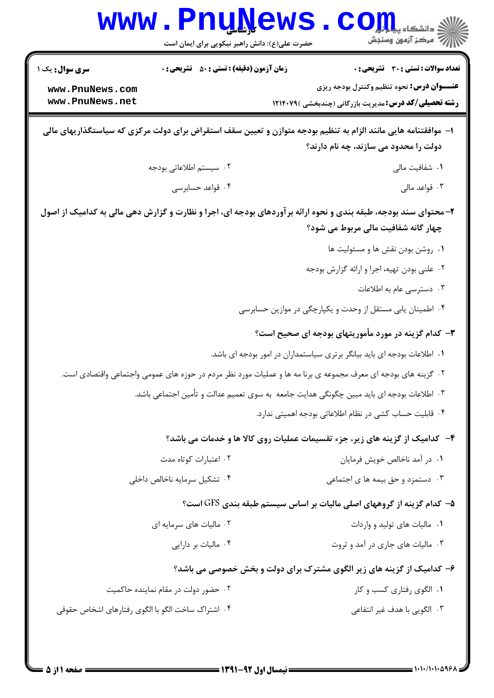| <b>سری سوال :</b> یک ۱                            | <b>زمان آزمون (دقیقه) : تستی : 50 ٪ تشریحی : 0</b> | <b>تعداد سوالات : تستی : 30 ٪ تشریحی : 0</b>                                                                                                            |
|---------------------------------------------------|----------------------------------------------------|---------------------------------------------------------------------------------------------------------------------------------------------------------|
| www.PnuNews.com                                   |                                                    | <b>عنـــوان درس:</b> نحوه تنظیم وکنترل بودجه ریزی                                                                                                       |
| www.PnuNews.net                                   |                                                    | <b>رشته تحصیلی/کد درس:</b> مدیریت بازرگانی (چندبخشی )۱۲۱۴۰۷۹                                                                                            |
|                                                   |                                                    | ا– موافقتنامه هایی مانند الزام به تنظیم بودجه متوازن و تعیین سقف استقراض برای دولت مرکزی که سیاستگذاریهای مالی<br>دولت را محدود می سازند، چه نام دارند؟ |
|                                                   | ۰۲ سیستم اطلاعاتی بودجه                            | ۰۱ شفافیت مالی                                                                                                                                          |
|                                                   | ۰۴ قواعد حسابرسی                                   | ۰۳ قواعد مالی                                                                                                                                           |
|                                                   |                                                    | ۲- محتوای سند بودجه، طبقه بندی و نحوه ارائه بر آوردهای بودجه ای، اجرا و نظارت و گزارش دهی مالی به کدامیک از اصول<br>چهار گانه شفافیت مالی مربوط می شود؟ |
|                                                   |                                                    | ۰۱ روشن بودن نقش ها و مسئوليت ها                                                                                                                        |
|                                                   |                                                    | ۰۲ علنی بودن تهیه، اجرا و ارائه گزارش بودجه                                                                                                             |
|                                                   |                                                    | ۰۳ دسترسی عام به اطلاعات                                                                                                                                |
|                                                   |                                                    | ۰۴ اطمینان یابی مستقل از وحدت و یکپارچگی در موازین حسابرسی                                                                                              |
|                                                   |                                                    | ۳- کدام گزینه در مورد مأموریتهای بودجه ای صحیح است؟                                                                                                     |
|                                                   |                                                    | ۰۱ اطلاعات بودجه ای باید بیانگر برتری سیاستمداران در امور بودجه ای باشد.                                                                                |
|                                                   |                                                    | ۲. گزینه های بودجه ای معرف مجموعه ی برنا مه ها و عملیات مورد نظر مردم در حوزه های عمومی واجتماعی واقتصادی است.                                          |
|                                                   |                                                    | ۰۳ اطلاعات بودجه ای باید مبین چگونگی هدایت جامعه  به سوی تعمیم عدالت و تأمین اجتماعی باشد.                                                              |
|                                                   |                                                    | ۰۴ قابلیت حساب کشی در نظام اطلاعاتی بودجه اهمیتی ندارد.                                                                                                 |
|                                                   |                                                    | ۴- کدامیک از گزینه های زیر، جزء تقسیمات عملیات روی کالا ها و خدمات می باشد؟                                                                             |
|                                                   | ۰۲ اعتبارات کوتاه مدت                              | ۰۱ در آمد ناخالص خویش فرمایان                                                                                                                           |
|                                                   | ۰۴ تشکیل سرمایه ناخالص داخلی                       | ۰۳ دستمزد و حق بیمه ها ی اجتماعی                                                                                                                        |
|                                                   |                                                    | ۵–  کدام گزینه از گروههای اصلی مالیات بر اساس سیستم طبقه بندی GFS است؟                                                                                  |
|                                                   | ۰۲ مالیات های سرمایه ای                            | ٠١ ماليات هاى توليد و واردات                                                                                                                            |
|                                                   | ۰۴ مالیات بر دارایی                                | ۰۳ مالیات های جاری در آمد و ثروت                                                                                                                        |
|                                                   |                                                    | ۶- کدامیک از گزینه های زیر الگوی مشترک برای دولت و بخش خصوصی می باشد؟                                                                                   |
|                                                   | ۰۲ حضور دولت در مقام نماینده حاکمیت                | ۰۱ الگوی رفتاری کسب و کار                                                                                                                               |
| ۰۴ اشتراک ساخت الگو با الگوی رفتارهای اشخاص حقوقی |                                                    | ۰۳ الگویی با هدف غیر انتفاعی                                                                                                                            |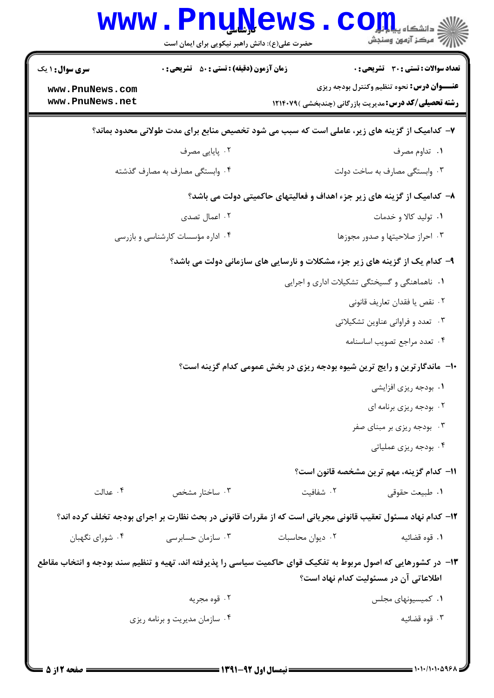| <b>WWW</b>                                                                                                     | <b>LUAN</b><br>حضرت علی(ع): دانش راهبر نیکویی برای ایمان است                                                |                                                                            | دانشگاه پ <b>یای</b><br>بِ ۖ مرڪز آزمون وسنڊش                                                                     |
|----------------------------------------------------------------------------------------------------------------|-------------------------------------------------------------------------------------------------------------|----------------------------------------------------------------------------|-------------------------------------------------------------------------------------------------------------------|
| <b>سری سوال :</b> ۱ یک                                                                                         | <b>زمان آزمون (دقیقه) : تستی : 50 ٪ تشریحی : 0</b>                                                          |                                                                            | <b>تعداد سوالات : تستی : 30 ٪ تشریحی : 0</b>                                                                      |
| www.PnuNews.com<br>www.PnuNews.net                                                                             |                                                                                                             |                                                                            | <b>عنـــوان درس:</b> نحوه تنظیم وکنترل بودجه ریزی<br><b>رشته تحصیلی/کد درس:</b> مدیریت بازرگانی (چندبخشی )۱۲۱۴۰۷۹ |
| ۷- کدامیک از گزینه های زیر، عاملی است که سبب می شود تخصیص منابع برای مدت طولانی محدود بماند؟                   |                                                                                                             |                                                                            |                                                                                                                   |
|                                                                                                                | ۰۲ پایایی مصرف                                                                                              |                                                                            | ۰۱ تداوم مصرف                                                                                                     |
|                                                                                                                | ۰۴ وابستگی مصارف به مصارف گذشته                                                                             |                                                                            | ۰۳ وابستگی مصارف به ساخت دولت                                                                                     |
|                                                                                                                |                                                                                                             | ۸– کدامیک از گزینه های زیر جزء اهداف و فعالیتهای حاکمیتی دولت می باشد؟     |                                                                                                                   |
|                                                                                                                | ۰۲ اعمال تصدی                                                                                               |                                                                            | ۰۱ تولید کالا و خدمات                                                                                             |
|                                                                                                                | ۰۴ اداره مؤسسات کارشناسی و بازرسی                                                                           |                                                                            | ٠٣ احراز صلاحيتها وصدور مجوزها                                                                                    |
|                                                                                                                |                                                                                                             | ۹- کدام یک از گزینه های زیر جزء مشکلات و نارسایی های سازمانی دولت می باشد؟ |                                                                                                                   |
|                                                                                                                |                                                                                                             |                                                                            | ۰۱ ناهماهنگی و گسیختگی تشکیلات اداری و اجرایی                                                                     |
|                                                                                                                |                                                                                                             |                                                                            | ٢. نقص يا فقدان تعاريف قانوني                                                                                     |
|                                                                                                                |                                                                                                             |                                                                            | ۰۳ تعدد و فراوانی عناوین تشکیلاتی                                                                                 |
|                                                                                                                |                                                                                                             |                                                                            | ۰۴ تعدد مراجع تصويب اساسنامه                                                                                      |
|                                                                                                                |                                                                                                             | ∙۱− ً ماندگارترین و رایج ترین شیوه بودجه ریزی در بخش عمومی کدام گزینه است؟ |                                                                                                                   |
|                                                                                                                |                                                                                                             |                                                                            | ۰۱ بودجه ریزی افزایشی                                                                                             |
|                                                                                                                |                                                                                                             |                                                                            | ۰۲ بودجه ریزی برنامه ای                                                                                           |
|                                                                                                                |                                                                                                             |                                                                            | ۰۳ بودجه ریزی بر مبنای صفر                                                                                        |
|                                                                                                                |                                                                                                             |                                                                            | ۰۴ بودجه ریزی عملیاتی                                                                                             |
|                                                                                                                |                                                                                                             |                                                                            | 11– كدام گزينه، مهم ترين مشخصه قانون است؟                                                                         |
| ۰۴ عدالت                                                                                                       | ۰۳ ساختار مشخص                                                                                              | ۰۲ شفافیت                                                                  | ٠١. طبيعت حقوقي                                                                                                   |
|                                                                                                                | ۱۲- کدام نهاد مسئول تعقیب قانونی مجریانی است که از مقررات قانونی در بحث نظارت بر اجرای بودجه تخلف کرده اند؟ |                                                                            |                                                                                                                   |
| ۰۴ شورای نگهبان                                                                                                | ۰۳ سازمان حسابرسی                                                                                           | ٠٢ ديوان محاسبات                                                           | ٠١ قوه قضائيه                                                                                                     |
| ۱۳- در کشورهایی که اصول مربوط به تفکیک قوای حاکمیت سیاسی را پذیرفته اند، تهیه و تنظیم سند بودجه و انتخاب مقاطع |                                                                                                             |                                                                            | اطلاعاتی آن در مسئولیت کدام نهاد است؟                                                                             |
|                                                                                                                | ۰۲ قوه مجريه                                                                                                |                                                                            | ۰۱ کمیسیونهای مجلس                                                                                                |
|                                                                                                                | ۰۴ سازمان مدیریت و برنامه ریزی                                                                              |                                                                            | ۰۳ قوه قضائيه                                                                                                     |
|                                                                                                                |                                                                                                             |                                                                            |                                                                                                                   |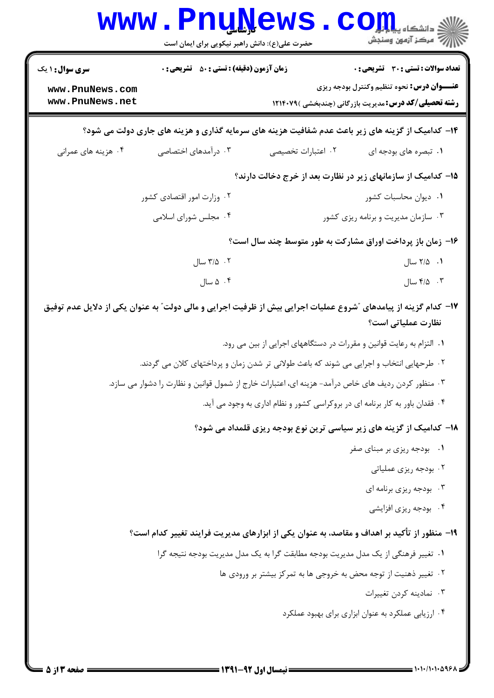|                                                              | <b>www.PnuNews</b><br>حضرت علی(ع): دانش راهبر نیکویی برای ایمان است                                             |                    | الد دانشڪاه پيام <mark>بر</mark><br>ا∜ مرڪز آزمهن وسنڊش                                                                                                    |
|--------------------------------------------------------------|-----------------------------------------------------------------------------------------------------------------|--------------------|------------------------------------------------------------------------------------------------------------------------------------------------------------|
| <b>سری سوال : ۱ یک</b><br>www.PnuNews.com<br>www.PnuNews.net | <b>زمان آزمون (دقیقه) : تستی : 50 ٪ تشریحی : 0</b>                                                              |                    | تعداد سوالات : تستي : 30 ٪ تشريحي : 0<br><b>عنـــوان درس:</b> نحوه تنظیم وکنترل بودجه ریزی<br><b>رشته تحصیلی/کد درس:</b> مدیریت بازرگانی (چندبخشی )۱۲۱۴۰۷۹ |
|                                                              | ۱۴- کدامیک از گزینه های زیر باعث عدم شفافیت هزینه های سرمایه گذاری و هزینه های جاری دولت می شود؟                |                    |                                                                                                                                                            |
| ۰۴ هزینه های عمرانی                                          | ۰۳ درآمدهای اختصاصی                                                                                             | ۰۲ اعتبارات تخصیصی | ۰۱ تبصره های بودجه ای                                                                                                                                      |
|                                                              |                                                                                                                 |                    | ۱۵– کدامیک از سازمانهای زیر در نظارت بعد از خرج دخالت دارند؟                                                                                               |
|                                                              | ۰۲ وزارت امور اقتصادی کشور                                                                                      |                    | ٠١ ديوان محاسبات كشور                                                                                                                                      |
|                                                              | ۰۴ مجلس شورای اسلامی                                                                                            |                    | ۰۳ سازمان مدیریت و برنامه ریزی کشور                                                                                                                        |
|                                                              |                                                                                                                 |                    | ۱۶– زمان باز پرداخت اوراق مشارکت به طور متوسط چند سال است؟                                                                                                 |
|                                                              | ۰۲ سال                                                                                                          |                    | ۰۱ ۲/۵ سال                                                                                                                                                 |
|                                                              | ۰۴ ۵ سال                                                                                                        |                    | $\bigcup$ ۰ ۴/۵ سال                                                                                                                                        |
|                                                              | ۱۷– کدام گزینه از پیامدهای ″شروع عملیات اجرایی بیش از ظرفیت اجرایی و مالی دولت″ به عنوان یکی از دلایل عدم توفیق |                    | نظارت عملیاتی است؟                                                                                                                                         |
|                                                              |                                                                                                                 |                    | ۰۱ التزام به رعایت قوانین و مقررات در دستگاههای اجرایی از بین می رود.                                                                                      |
|                                                              | ۰۲ طرحهایی انتخاب و اجرایی می شوند که باعث طولانی تر شدن زمان و پرداختهای کلان می گردند.                        |                    |                                                                                                                                                            |
|                                                              | ۰۳ منظور کردن ردیف های خاص درآمد- هزینه ای، اعتبارات خارج از شمول قوانین و نظارت را دشوار می سازد.              |                    |                                                                                                                                                            |
|                                                              |                                                                                                                 |                    | ۰۴ فقدان باور به کار برنامه ای در بروکراسی کشور و نظام اداری به وجود می آید.                                                                               |
|                                                              |                                                                                                                 |                    | ۱۸– کدامیک از گزینه های زیر سیاسی ترین نوع بودجه ریزی قلمداد می شود؟                                                                                       |
|                                                              |                                                                                                                 |                    | ٠١. بودجه ريزي بر مبناي صفر                                                                                                                                |
|                                                              |                                                                                                                 |                    | ۰۲ بودجه ریزی عملیاتی                                                                                                                                      |
|                                                              |                                                                                                                 |                    | ۰۳ بودجه ریزی برنامه ای                                                                                                                                    |
|                                                              |                                                                                                                 |                    | ۰۴ بودجه ریزی افزایشی                                                                                                                                      |
|                                                              | ۱۹- منظور از تأکید بر اهداف و مقاصد، به عنوان یکی از ابزارهای مدیریت فرایند تغییر کدام است؟                     |                    |                                                                                                                                                            |
|                                                              | ١.  تغيير فرهنگي از يک مدل مديريت بودجه مطابقت گرا به يک مدل مديريت بودجه نتيجه گرا                             |                    |                                                                                                                                                            |
|                                                              |                                                                                                                 |                    | ۰۲ تغییر ذهنیت از توجه محض به خروجی ها به تمرکز بیشتر بر ورودی ها                                                                                          |
|                                                              |                                                                                                                 |                    | ۰۳ نمادينه كردن تغييرات                                                                                                                                    |
|                                                              |                                                                                                                 |                    | ۰۴ ارزیابی عملکرد به عنوان ابزاری برای بهبود عملکرد                                                                                                        |
|                                                              |                                                                                                                 |                    |                                                                                                                                                            |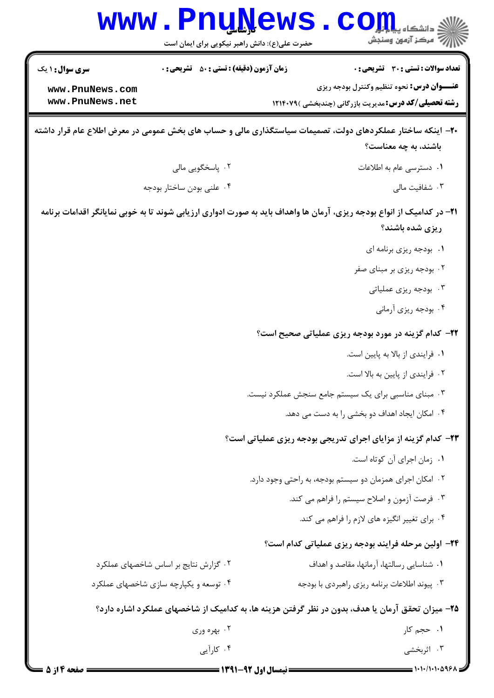| <b>WWW</b>                         | <u>Luñiam R</u><br>حضرت علی(ع): دانش راهبر نیکویی برای ایمان است | دانشگاه پ <b>یا ب<mark>ا</mark> با<mark>ر</mark></b><br>7' مرڪز آزمون وسنڊش                                                               |
|------------------------------------|------------------------------------------------------------------|-------------------------------------------------------------------------------------------------------------------------------------------|
| <b>سری سوال :</b> ۱ یک             | <b>زمان آزمون (دقیقه) : تستی : 50 ٪ تشریحی : 0</b>               | <b>تعداد سوالات : تستی : 30 ٪ تشریحی : 0</b>                                                                                              |
| www.PnuNews.com<br>www.PnuNews.net |                                                                  | <b>عنـــوان درس:</b> نحوه تنظیم وکنترل بودجه ریزی<br><b>رشته تحصیلی/کد درس:</b> مدیریت بازرگانی (چندبخشی )۱۲۱۴۰۷۹                         |
|                                    |                                                                  | +۲- اینکه ساختار عملکردهای دولت، تصمیمات سیاستگذاری مالی و حساب های بخش عمومی در معرض اطلاع عام قرار داشته<br>باشند، به چه معناست؟        |
|                                    | ۰۲ پاسخگویی مالی                                                 | ۰۱ دسترسی عام به اطلاعات                                                                                                                  |
|                                    | ۰۴ علنی بودن ساختار بودجه                                        | ۰۳ شفافیت مالی                                                                                                                            |
|                                    |                                                                  | ۲۱– در کدامیک از انواع بودجه ریزی، آرمان ها واهداف باید به صورت ادواری ارزیابی شوند تا به خوبی نمایانگر اقدامات برنامه<br>ریزی شده باشند؟ |
|                                    |                                                                  | ٠١. بودجه ريزي برنامه اي                                                                                                                  |
|                                    |                                                                  | ۰۲ بودجه ریزی بر مبنای صفر                                                                                                                |
|                                    |                                                                  | ۰۳ بودجه ریزی عملیاتی                                                                                                                     |
|                                    |                                                                  | ۰۴ بودجه ریزی آرمانی                                                                                                                      |
|                                    |                                                                  | <b>3۲- کدام گزینه در مورد بودجه ریزی عملیاتی صحیح است؟</b>                                                                                |
|                                    |                                                                  | ۰۱ فرایندی از بالا به پایین است.                                                                                                          |
|                                    |                                                                  | ۰۲ فرایندی از پایین به بالا است.                                                                                                          |
|                                    |                                                                  | ۰۳ مبنای مناسبی برای یک سیستم جامع سنجش عملکرد نیست.                                                                                      |
|                                    |                                                                  | ۰۴ امکان ایجاد اهداف دو بخشی را به دست می دهد.                                                                                            |
|                                    |                                                                  | ۲۳- کدام گزینه از مزایای اجرای تدریجی بودجه ریزی عملیاتی است؟                                                                             |
|                                    |                                                                  | ٠١. زمان اجراى آن كوتاه است.                                                                                                              |
|                                    |                                                                  | ۰۲ امکان اجرای همزمان دو سیستم بودجه، به راحتی وجود دارد.                                                                                 |
|                                    |                                                                  | ۰۳ فرصت آزمون و اصلاح سیستم را فراهم می کند.                                                                                              |
|                                    |                                                                  | ۰۴ برای تغییر انگیزه های لازم را فراهم می کند.                                                                                            |
|                                    |                                                                  | <b>۲۴</b> - اولین مرحله فرایند بودجه ریزی عملیاتی کدام است؟                                                                               |
|                                    | ۰۲ گزارش نتایج بر اساس شاخصهای عملکرد                            | ٠١ شناسايي رسالتها، آرمانها، مقاصد و اهداف                                                                                                |
|                                    | ۰۴ توسعه و یکپارچه سازی شاخصهای عملکرد                           | ۰۳ پیوند اطلاعات برنامه ریزی راهبردی با بودجه                                                                                             |
|                                    |                                                                  | ۲۵– میزان تحقق آرمان یا هدف، بدون در نظر گرفتن هزینه ها، به کدامیک از شاخصهای عملکرد اشاره دارد؟                                          |
|                                    | ۰۲ بهره وري                                                      | ۰۱ حجم کار                                                                                                                                |
|                                    | ۰۴ کارآیی                                                        | ۰۳ اثربخشی                                                                                                                                |